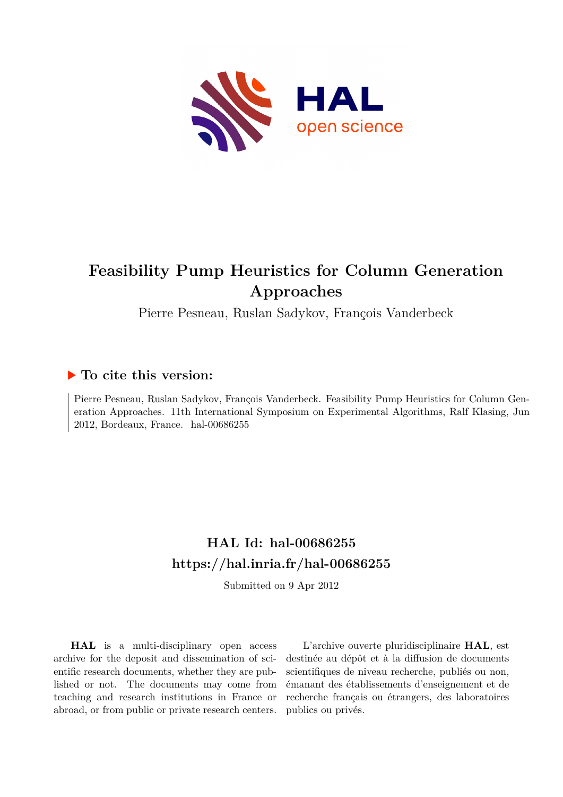

# **Feasibility Pump Heuristics for Column Generation Approaches**

Pierre Pesneau, Ruslan Sadykov, François Vanderbeck

### **To cite this version:**

Pierre Pesneau, Ruslan Sadykov, François Vanderbeck. Feasibility Pump Heuristics for Column Generation Approaches. 11th International Symposium on Experimental Algorithms, Ralf Klasing, Jun  $2012$ , Bordeaux, France. hal- $00686255$ 

## **HAL Id: hal-00686255 <https://hal.inria.fr/hal-00686255>**

Submitted on 9 Apr 2012

**HAL** is a multi-disciplinary open access archive for the deposit and dissemination of scientific research documents, whether they are published or not. The documents may come from teaching and research institutions in France or abroad, or from public or private research centers.

L'archive ouverte pluridisciplinaire **HAL**, est destinée au dépôt et à la diffusion de documents scientifiques de niveau recherche, publiés ou non, émanant des établissements d'enseignement et de recherche français ou étrangers, des laboratoires publics ou privés.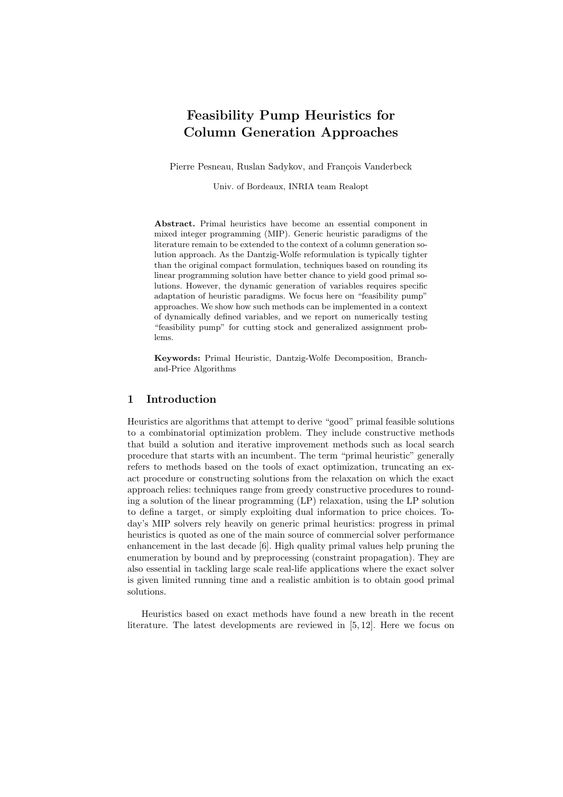## Feasibility Pump Heuristics for Column Generation Approaches

Pierre Pesneau, Ruslan Sadykov, and François Vanderbeck

Univ. of Bordeaux, INRIA team Realopt

Abstract. Primal heuristics have become an essential component in mixed integer programming (MIP). Generic heuristic paradigms of the literature remain to be extended to the context of a column generation solution approach. As the Dantzig-Wolfe reformulation is typically tighter than the original compact formulation, techniques based on rounding its linear programming solution have better chance to yield good primal solutions. However, the dynamic generation of variables requires specific adaptation of heuristic paradigms. We focus here on "feasibility pump" approaches. We show how such methods can be implemented in a context of dynamically defined variables, and we report on numerically testing "feasibility pump" for cutting stock and generalized assignment problems.

Keywords: Primal Heuristic, Dantzig-Wolfe Decomposition, Branchand-Price Algorithms

#### 1 Introduction

Heuristics are algorithms that attempt to derive "good" primal feasible solutions to a combinatorial optimization problem. They include constructive methods that build a solution and iterative improvement methods such as local search procedure that starts with an incumbent. The term "primal heuristic" generally refers to methods based on the tools of exact optimization, truncating an exact procedure or constructing solutions from the relaxation on which the exact approach relies: techniques range from greedy constructive procedures to rounding a solution of the linear programming (LP) relaxation, using the LP solution to define a target, or simply exploiting dual information to price choices. Today's MIP solvers rely heavily on generic primal heuristics: progress in primal heuristics is quoted as one of the main source of commercial solver performance enhancement in the last decade [6]. High quality primal values help pruning the enumeration by bound and by preprocessing (constraint propagation). They are also essential in tackling large scale real-life applications where the exact solver is given limited running time and a realistic ambition is to obtain good primal solutions.

Heuristics based on exact methods have found a new breath in the recent literature. The latest developments are reviewed in [5, 12]. Here we focus on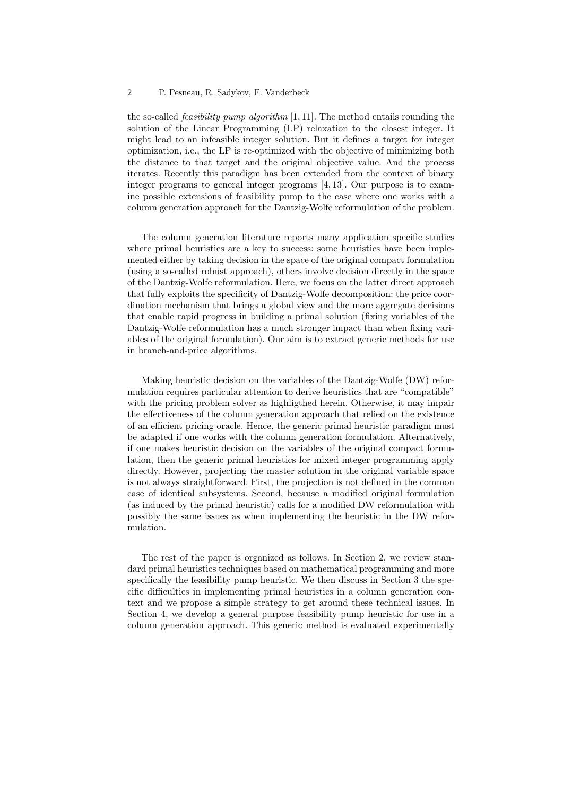#### 2 P. Pesneau, R. Sadykov, F. Vanderbeck

the so-called *feasibility pump algorithm*  $[1, 11]$ . The method entails rounding the solution of the Linear Programming (LP) relaxation to the closest integer. It might lead to an infeasible integer solution. But it defines a target for integer optimization, i.e., the LP is re-optimized with the objective of minimizing both the distance to that target and the original objective value. And the process iterates. Recently this paradigm has been extended from the context of binary integer programs to general integer programs [4, 13]. Our purpose is to examine possible extensions of feasibility pump to the case where one works with a column generation approach for the Dantzig-Wolfe reformulation of the problem.

The column generation literature reports many application specific studies where primal heuristics are a key to success: some heuristics have been implemented either by taking decision in the space of the original compact formulation (using a so-called robust approach), others involve decision directly in the space of the Dantzig-Wolfe reformulation. Here, we focus on the latter direct approach that fully exploits the specificity of Dantzig-Wolfe decomposition: the price coordination mechanism that brings a global view and the more aggregate decisions that enable rapid progress in building a primal solution (fixing variables of the Dantzig-Wolfe reformulation has a much stronger impact than when fixing variables of the original formulation). Our aim is to extract generic methods for use in branch-and-price algorithms.

Making heuristic decision on the variables of the Dantzig-Wolfe (DW) reformulation requires particular attention to derive heuristics that are "compatible" with the pricing problem solver as highligthed herein. Otherwise, it may impair the effectiveness of the column generation approach that relied on the existence of an efficient pricing oracle. Hence, the generic primal heuristic paradigm must be adapted if one works with the column generation formulation. Alternatively, if one makes heuristic decision on the variables of the original compact formulation, then the generic primal heuristics for mixed integer programming apply directly. However, projecting the master solution in the original variable space is not always straightforward. First, the projection is not defined in the common case of identical subsystems. Second, because a modified original formulation (as induced by the primal heuristic) calls for a modified DW reformulation with possibly the same issues as when implementing the heuristic in the DW reformulation.

The rest of the paper is organized as follows. In Section 2, we review standard primal heuristics techniques based on mathematical programming and more specifically the feasibility pump heuristic. We then discuss in Section 3 the specific difficulties in implementing primal heuristics in a column generation context and we propose a simple strategy to get around these technical issues. In Section 4, we develop a general purpose feasibility pump heuristic for use in a column generation approach. This generic method is evaluated experimentally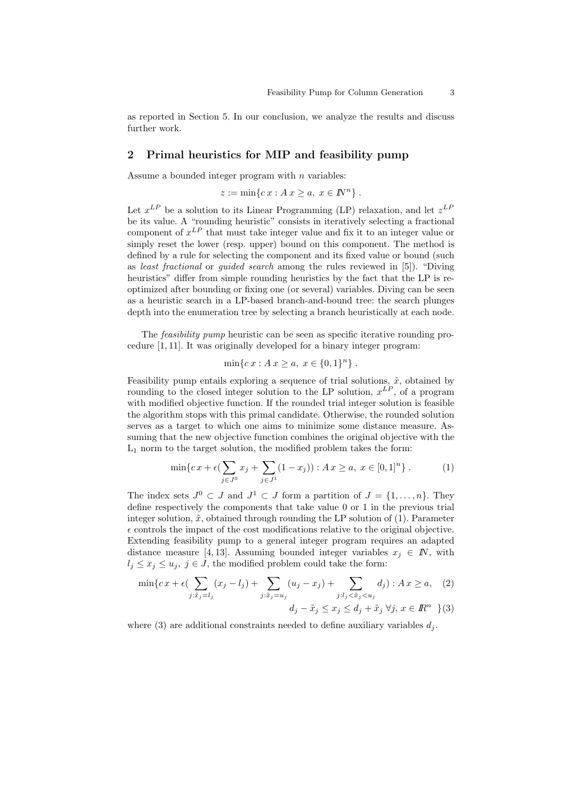as reported in Section 5. In our conclusion, we analyze the results and discuss further work.

#### 2 Primal heuristics for MIP and feasibility pump

Assume a bounded integer program with  $n$  variables:

$$
z := \min\{c \, x : A \, x \ge a, \ x \in I\!\!N^n\} .
$$

Let  $x^{LP}$  be a solution to its Linear Programming (LP) relaxation, and let  $z^{LP}$ be its value. A "rounding heuristic" consists in iteratively selecting a fractional component of  $x^{LP}$  that must take integer value and fix it to an integer value or simply reset the lower (resp. upper) bound on this component. The method is defined by a rule for selecting the component and its fixed value or bound (such as least fractional or guided search among the rules reviewed in [5]). "Diving heuristics" differ from simple rounding heuristics by the fact that the LP is reoptimized after bounding or fixing one (or several) variables. Diving can be seen as a heuristic search in a LP-based branch-and-bound tree: the search plunges depth into the enumeration tree by selecting a branch heuristically at each node.

The *feasibility pump* heuristic can be seen as specific iterative rounding procedure [1, 11]. It was originally developed for a binary integer program:

$$
\min\{c\,x : A\,x \ge a, \ x \in \{0,1\}^n\} .
$$

Feasibility pump entails exploring a sequence of trial solutions,  $\tilde{x}$ , obtained by rounding to the closed integer solution to the LP solution,  $x^{LP}$ , of a program with modified objective function. If the rounded trial integer solution is feasible the algorithm stops with this primal candidate. Otherwise, the rounded solution serves as a target to which one aims to minimize some distance measure. Assuming that the new objective function combines the original objective with the  $L_1$  norm to the target solution, the modified problem takes the form:

$$
\min\{cx + \epsilon(\sum_{j \in J^0} x_j + \sum_{j \in J^1} (1 - x_j)) : Ax \ge a, \ x \in [0, 1]^n\}.
$$
 (1)

The index sets  $J^0 \subset J$  and  $J^1 \subset J$  form a partition of  $J = \{1, \ldots, n\}$ . They define respectively the components that take value 0 or 1 in the previous trial integer solution,  $\tilde{x}$ , obtained through rounding the LP solution of (1). Parameter  $\epsilon$  controls the impact of the cost modifications relative to the original objective. Extending feasibility pump to a general integer program requires an adapted distance measure [4, 13]. Assuming bounded integer variables  $x_i \in \mathbb{N}$ , with  $l_j \leq x_j \leq u_j, \ j \in J$ , the modified problem could take the form:

$$
\min\{cx + \epsilon \left( \sum_{j:\tilde{x}_j=l_j} (x_j - l_j) + \sum_{j:\tilde{x}_j=u_j} (u_j - x_j) + \sum_{j:l_j<\tilde{x}_j  

$$
d_j - \tilde{x}_j \le x_j \le d_j + \tilde{x}_j \ \forall j, \ x \in \mathbb{R}^n \ \}(3)
$$
$$

where (3) are additional constraints needed to define auxiliary variables  $d_j$ .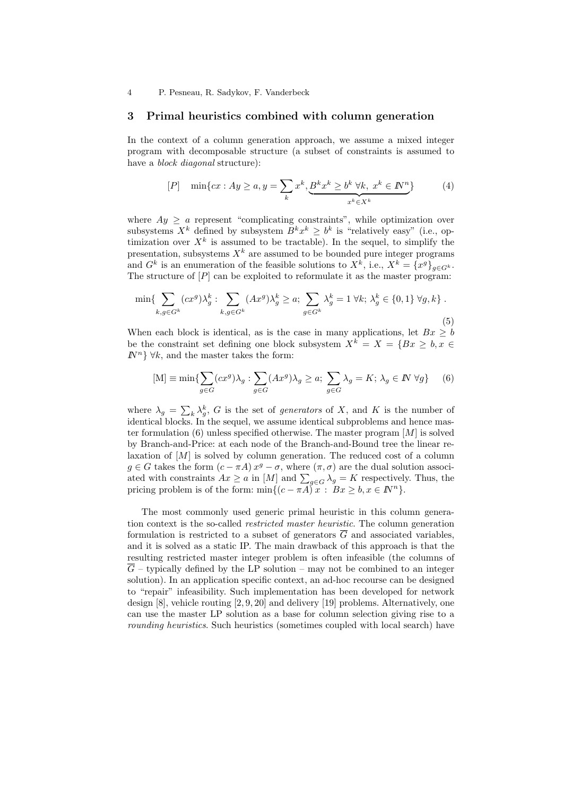#### 3 Primal heuristics combined with column generation

In the context of a column generation approach, we assume a mixed integer program with decomposable structure (a subset of constraints is assumed to have a *block diagonal* structure):

$$
[P] \quad \min\{cx : Ay \ge a, y = \sum_{k} x^{k}, \underbrace{B^{k}x^{k} \ge b^{k} \,\forall k, \, x^{k} \in \mathbb{N}^{n}}_{x^{k} \in X^{k}}\} \tag{4}
$$

where  $Ay \geq a$  represent "complicating constraints", while optimization over subsystems  $X^k$  defined by subsystem  $B^k x^k \geq b^k$  is "relatively easy" (i.e., optimization over  $X^k$  is assumed to be tractable). In the sequel, to simplify the presentation, subsystems  $X^k$  are assumed to be bounded pure integer programs and  $G^k$  is an enumeration of the feasible solutions to  $X^k$ , i.e.,  $X^k = \{x^g\}_{g \in G^k}$ . The structure of  $[P]$  can be exploited to reformulate it as the master program:

$$
\min\{\sum_{k,g\in G^k} (cx^g)\lambda_g^k : \sum_{k,g\in G^k} (Ax^g)\lambda_g^k \ge a; \sum_{g\in G^k} \lambda_g^k = 1 \,\forall k; \,\lambda_g^k \in \{0,1\} \,\forall g, k\}.
$$
\n
$$
(5)
$$

When each block is identical, as is the case in many applications, let  $Bx \geq b$ be the constraint set defining one block subsystem  $X^k = X = \{Bx \geq b, x \in$  $\mathbb{N}^n$   $\forall k$ , and the master takes the form:

$$
[M] \equiv \min \{ \sum_{g \in G} (cx^g) \lambda_g : \sum_{g \in G} (Ax^g) \lambda_g \ge a; \sum_{g \in G} \lambda_g = K; \lambda_g \in I \quad \forall g \}
$$
 (6)

where  $\lambda_g = \sum_k \lambda_g^k$ , G is the set of *generators* of X, and K is the number of identical blocks. In the sequel, we assume identical subproblems and hence master formulation (6) unless specified otherwise. The master program  $[M]$  is solved by Branch-and-Price: at each node of the Branch-and-Bound tree the linear relaxation of  $[M]$  is solved by column generation. The reduced cost of a column  $g \in G$  takes the form  $(c - \pi A)x^g - \sigma$ , where  $(\pi, \sigma)$  are the dual solution associated with constraints  $Ax \ge a$  in [M] and  $\sum_{g \in G} \lambda_g = K$  respectively. Thus, the pricing problem is of the form:  $\min\{(c - \pi A)^{\checkmark} : Bx \geq b, x \in \mathbb{N}^n\}.$ 

The most commonly used generic primal heuristic in this column generation context is the so-called restricted master heuristic. The column generation formulation is restricted to a subset of generators  $\overline{G}$  and associated variables, and it is solved as a static IP. The main drawback of this approach is that the resulting restricted master integer problem is often infeasible (the columns of  $\overline{G}$  – typically defined by the LP solution – may not be combined to an integer solution). In an application specific context, an ad-hoc recourse can be designed to "repair" infeasibility. Such implementation has been developed for network design [8], vehicle routing [2, 9, 20] and delivery [19] problems. Alternatively, one can use the master LP solution as a base for column selection giving rise to a rounding heuristics. Such heuristics (sometimes coupled with local search) have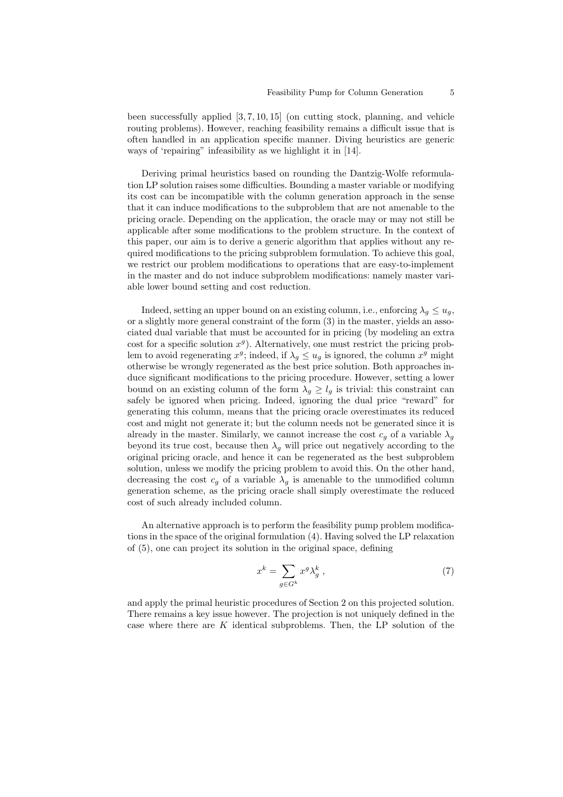been successfully applied [3, 7, 10, 15] (on cutting stock, planning, and vehicle routing problems). However, reaching feasibility remains a difficult issue that is often handled in an application specific manner. Diving heuristics are generic ways of 'repairing" infeasibility as we highlight it in [14].

Deriving primal heuristics based on rounding the Dantzig-Wolfe reformulation LP solution raises some difficulties. Bounding a master variable or modifying its cost can be incompatible with the column generation approach in the sense that it can induce modifications to the subproblem that are not amenable to the pricing oracle. Depending on the application, the oracle may or may not still be applicable after some modifications to the problem structure. In the context of this paper, our aim is to derive a generic algorithm that applies without any required modifications to the pricing subproblem formulation. To achieve this goal, we restrict our problem modifications to operations that are easy-to-implement in the master and do not induce subproblem modifications: namely master variable lower bound setting and cost reduction.

Indeed, setting an upper bound on an existing column, i.e., enforcing  $\lambda_a \leq u_a$ , or a slightly more general constraint of the form (3) in the master, yields an associated dual variable that must be accounted for in pricing (by modeling an extra  $\cos t$  for a specific solution  $x^g$ ). Alternatively, one must restrict the pricing problem to avoid regenerating  $x^g$ ; indeed, if  $\lambda_g \leq u_g$  is ignored, the column  $x^g$  might otherwise be wrongly regenerated as the best price solution. Both approaches induce significant modifications to the pricing procedure. However, setting a lower bound on an existing column of the form  $\lambda_q \geq l_q$  is trivial: this constraint can safely be ignored when pricing. Indeed, ignoring the dual price "reward" for generating this column, means that the pricing oracle overestimates its reduced cost and might not generate it; but the column needs not be generated since it is already in the master. Similarly, we cannot increase the cost  $c_q$  of a variable  $\lambda_q$ beyond its true cost, because then  $\lambda_g$  will price out negatively according to the original pricing oracle, and hence it can be regenerated as the best subproblem solution, unless we modify the pricing problem to avoid this. On the other hand, decreasing the cost  $c_q$  of a variable  $\lambda_q$  is amenable to the unmodified column generation scheme, as the pricing oracle shall simply overestimate the reduced cost of such already included column.

An alternative approach is to perform the feasibility pump problem modifications in the space of the original formulation (4). Having solved the LP relaxation of (5), one can project its solution in the original space, defining

$$
x^k = \sum_{g \in G^k} x^g \lambda_g^k \,, \tag{7}
$$

and apply the primal heuristic procedures of Section 2 on this projected solution. There remains a key issue however. The projection is not uniquely defined in the case where there are  $K$  identical subproblems. Then, the LP solution of the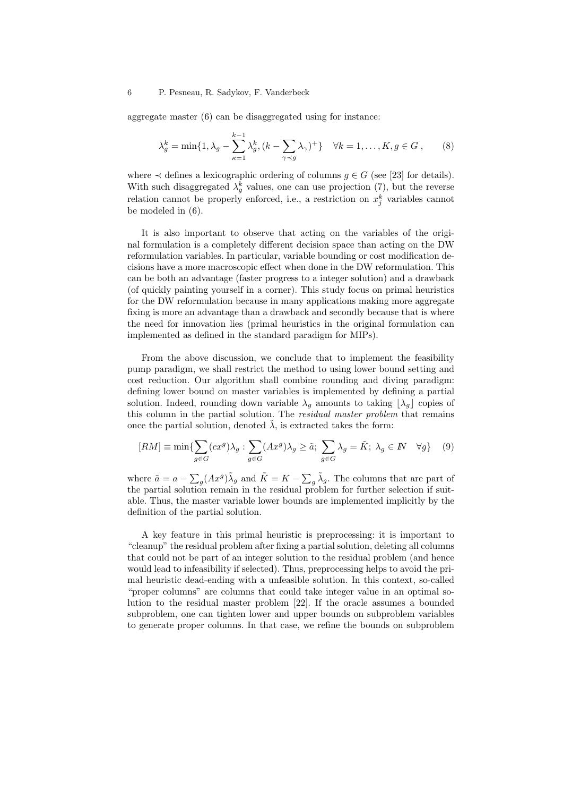aggregate master (6) can be disaggregated using for instance:

$$
\lambda_g^k = \min\{1, \lambda_g - \sum_{\kappa=1}^{k-1} \lambda_g^k, (k - \sum_{\gamma \prec g} \lambda_\gamma)^+\} \quad \forall k = 1, \dots, K, g \in G, \tag{8}
$$

where  $\prec$  defines a lexicographic ordering of columns  $g \in G$  (see [23] for details). With such disaggregated  $\lambda_g^k$  values, one can use projection (7), but the reverse relation cannot be properly enforced, i.e., a restriction on  $x_j^k$  variables cannot be modeled in (6).

It is also important to observe that acting on the variables of the original formulation is a completely different decision space than acting on the DW reformulation variables. In particular, variable bounding or cost modification decisions have a more macroscopic effect when done in the DW reformulation. This can be both an advantage (faster progress to a integer solution) and a drawback (of quickly painting yourself in a corner). This study focus on primal heuristics for the DW reformulation because in many applications making more aggregate fixing is more an advantage than a drawback and secondly because that is where the need for innovation lies (primal heuristics in the original formulation can implemented as defined in the standard paradigm for MIPs).

From the above discussion, we conclude that to implement the feasibility pump paradigm, we shall restrict the method to using lower bound setting and cost reduction. Our algorithm shall combine rounding and diving paradigm: defining lower bound on master variables is implemented by defining a partial solution. Indeed, rounding down variable  $\lambda_q$  amounts to taking  $|\lambda_q|$  copies of this column in the partial solution. The residual master problem that remains once the partial solution, denoted  $\lambda$ , is extracted takes the form:

$$
[RM] \equiv \min\{\sum_{g \in G} (cx^g) \lambda_g : \sum_{g \in G} (Ax^g) \lambda_g \ge \tilde{a}; \sum_{g \in G} \lambda_g = \tilde{K}; \lambda_g \in N \quad \forall g\} \quad (9)
$$

where  $\tilde{a} = a - \sum_{g} (Ax^g) \tilde{\lambda}_g$  and  $\tilde{K} = K - \sum_{g} \tilde{\lambda}_g$ . The columns that are part of the partial solution remain in the residual problem for further selection if suitable. Thus, the master variable lower bounds are implemented implicitly by the definition of the partial solution.

A key feature in this primal heuristic is preprocessing: it is important to "cleanup" the residual problem after fixing a partial solution, deleting all columns that could not be part of an integer solution to the residual problem (and hence would lead to infeasibility if selected). Thus, preprocessing helps to avoid the primal heuristic dead-ending with a unfeasible solution. In this context, so-called "proper columns" are columns that could take integer value in an optimal solution to the residual master problem [22]. If the oracle assumes a bounded subproblem, one can tighten lower and upper bounds on subproblem variables to generate proper columns. In that case, we refine the bounds on subproblem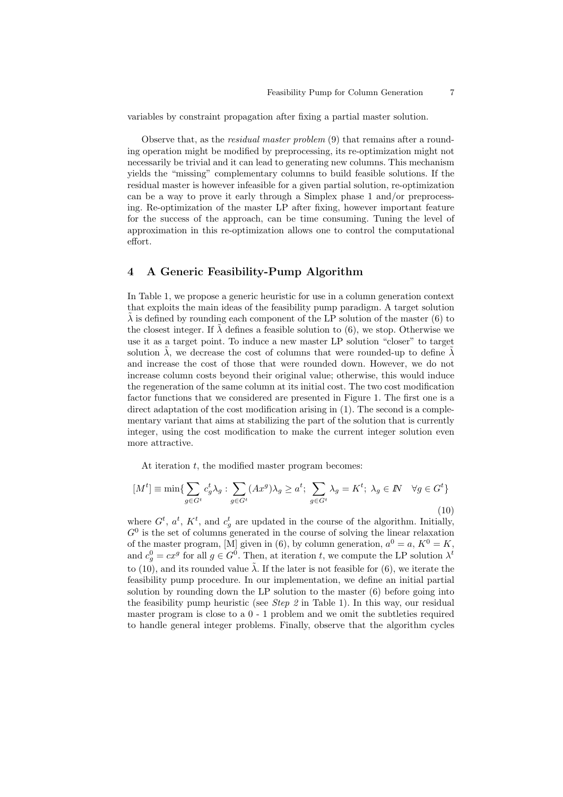variables by constraint propagation after fixing a partial master solution.

Observe that, as the residual master problem (9) that remains after a rounding operation might be modified by preprocessing, its re-optimization might not necessarily be trivial and it can lead to generating new columns. This mechanism yields the "missing" complementary columns to build feasible solutions. If the residual master is however infeasible for a given partial solution, re-optimization can be a way to prove it early through a Simplex phase 1 and/or preprocessing. Re-optimization of the master LP after fixing, however important feature for the success of the approach, can be time consuming. Tuning the level of approximation in this re-optimization allows one to control the computational effort.

#### 4 A Generic Feasibility-Pump Algorithm

In Table 1, we propose a generic heuristic for use in a column generation context that exploits the main ideas of the feasibility pump paradigm. A target solution  $\lambda$  is defined by rounding each component of the LP solution of the master (6) to the closest integer. If  $\tilde{\lambda}$  defines a feasible solution to (6), we stop. Otherwise we use it as a target point. To induce a new master LP solution "closer" to target solution  $\lambda$ , we decrease the cost of columns that were rounded-up to define  $\lambda$ and increase the cost of those that were rounded down. However, we do not increase column costs beyond their original value; otherwise, this would induce the regeneration of the same column at its initial cost. The two cost modification factor functions that we considered are presented in Figure 1. The first one is a direct adaptation of the cost modification arising in (1). The second is a complementary variant that aims at stabilizing the part of the solution that is currently integer, using the cost modification to make the current integer solution even more attractive.

At iteration t, the modified master program becomes:

$$
[M^t] \equiv \min\{\sum_{g \in G^t} c_g^t \lambda_g : \sum_{g \in G^t} (Ax^g) \lambda_g \ge a^t; \sum_{g \in G^t} \lambda_g = K^t; \lambda_g \in \mathbb{N} \quad \forall g \in G^t\}
$$
\n(10)

where  $G^t$ ,  $a^t$ ,  $K^t$ , and  $c_g^t$  are updated in the course of the algorithm. Initially,  $G<sup>0</sup>$  is the set of columns generated in the course of solving the linear relaxation of the master program, [M] given in (6), by column generation,  $a^0 = a, K^0 = K$ , and  $c_g^0 = cx^g$  for all  $g \in G^0$ . Then, at iteration t, we compute the LP solution  $\lambda^t$ to (10), and its rounded value  $\tilde{\lambda}$ . If the later is not feasible for (6), we iterate the feasibility pump procedure. In our implementation, we define an initial partial solution by rounding down the LP solution to the master (6) before going into the feasibility pump heuristic (see *Step 2* in Table 1). In this way, our residual master program is close to a 0 - 1 problem and we omit the subtleties required to handle general integer problems. Finally, observe that the algorithm cycles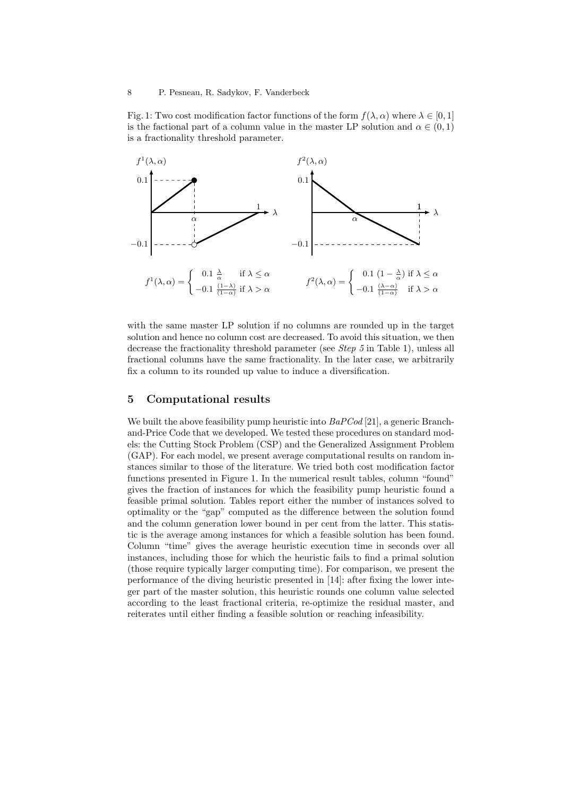Fig. 1: Two cost modification factor functions of the form  $f(\lambda, \alpha)$  where  $\lambda \in [0, 1]$ is the factional part of a column value in the master LP solution and  $\alpha \in (0,1)$ is a fractionality threshold parameter.



with the same master LP solution if no columns are rounded up in the target solution and hence no column cost are decreased. To avoid this situation, we then decrease the fractionality threshold parameter (see Step 5 in Table 1), unless all fractional columns have the same fractionality. In the later case, we arbitrarily fix a column to its rounded up value to induce a diversification.

#### 5 Computational results

We built the above feasibility pump heuristic into  $BaPCod [21]$ , a generic Branchand-Price Code that we developed. We tested these procedures on standard models: the Cutting Stock Problem (CSP) and the Generalized Assignment Problem (GAP). For each model, we present average computational results on random instances similar to those of the literature. We tried both cost modification factor functions presented in Figure 1. In the numerical result tables, column "found" gives the fraction of instances for which the feasibility pump heuristic found a feasible primal solution. Tables report either the number of instances solved to optimality or the "gap" computed as the difference between the solution found and the column generation lower bound in per cent from the latter. This statistic is the average among instances for which a feasible solution has been found. Column "time" gives the average heuristic execution time in seconds over all instances, including those for which the heuristic fails to find a primal solution (those require typically larger computing time). For comparison, we present the performance of the diving heuristic presented in [14]: after fixing the lower integer part of the master solution, this heuristic rounds one column value selected according to the least fractional criteria, re-optimize the residual master, and reiterates until either finding a feasible solution or reaching infeasibility.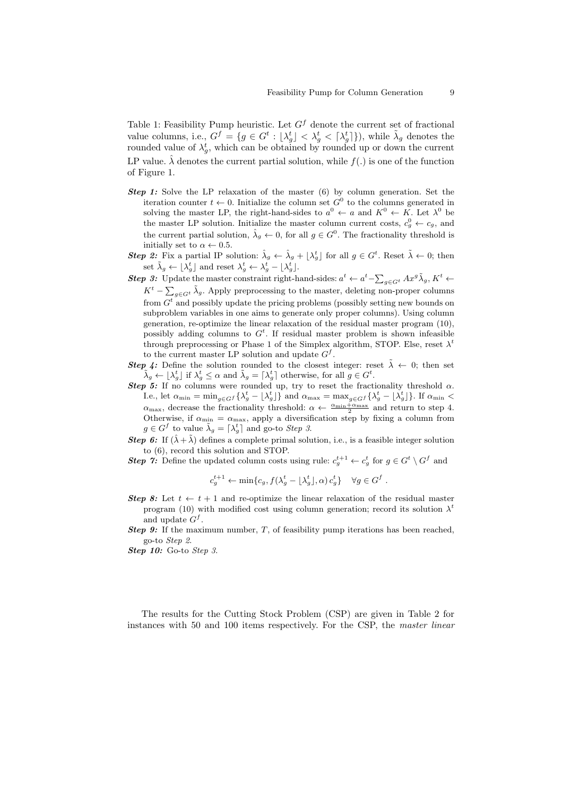Table 1: Feasibility Pump heuristic. Let  $G<sup>f</sup>$  denote the current set of fractional value columns, i.e.,  $G^f = \{g \in G^t : \lfloor \lambda_g^t \rfloor < \lambda_g^t < \lceil \lambda_g^t \rceil\}$ , while  $\tilde{\lambda}_g$  denotes the rounded value of  $\lambda_g^t$ , which can be obtained by rounded up or down the current LP value.  $\hat{\lambda}$  denotes the current partial solution, while  $f(.)$  is one of the function of Figure 1.

- Step 1: Solve the LP relaxation of the master (6) by column generation. Set the iteration counter  $t \leftarrow 0$ . Initialize the column set  $G^0$  to the columns generated in solving the master LP, the right-hand-sides to  $a^0 \leftarrow a$  and  $K^0 \leftarrow K$ . Let  $\lambda^0$  be the master LP solution. Initialize the master column current costs,  $c_g^0 \leftarrow c_g$ , and the current partial solution,  $\hat{\lambda}_g \leftarrow 0$ , for all  $g \in G^0$ . The fractionality threshold is initially set to  $\alpha \leftarrow 0.5$ .
- **Step 2:** Fix a partial IP solution:  $\hat{\lambda}_g \leftarrow \hat{\lambda}_g + \lfloor \lambda_g^t \rfloor$  for all  $g \in G^t$ . Reset  $\tilde{\lambda} \leftarrow 0$ ; then set  $\tilde{\lambda}_g \leftarrow \lfloor \lambda_g^t \rfloor$  and reset  $\lambda_g^t \leftarrow \lambda_g^t - \lfloor \lambda_g^t \rfloor$ .
- **Step 3:** Update the master constraint right-hand-sides:  $a^t \leftarrow a^t \sum_{g \in G^t} Ax^g \tilde{\lambda}_g, K^t \leftarrow$  $K^t - \sum_{g \in G^t} \tilde{\lambda}_g$ . Apply preprocessing to the master, deleting non-proper columns from  $G<sup>t</sup>$  and possibly update the pricing problems (possibly setting new bounds on subproblem variables in one aims to generate only proper columns). Using column generation, re-optimize the linear relaxation of the residual master program (10), possibly adding columns to  $G<sup>t</sup>$ . If residual master problem is shown infeasible through preprocessing or Phase 1 of the Simplex algorithm, STOP. Else, reset  $\lambda^t$ to the current master LP solution and update  $G^f$ .
- **Step 4:** Define the solution rounded to the closest integer: reset  $\tilde{\lambda} \leftarrow 0$ ; then set  $\tilde{\lambda}_g \leftarrow \lfloor \lambda_g^t \rfloor$  if  $\lambda_g^t \leq \alpha$  and  $\tilde{\lambda}_g = \lceil \lambda_g^t \rceil$  otherwise, for all  $g \in G^t$ .
- Step 5: If no columns were rounded up, try to reset the fractionality threshold  $\alpha$ . I.e., let  $\alpha_{\min} = \min_{g \in G} \{ \lambda_g^t - \lfloor \lambda_g^t \rfloor \}$  and  $\alpha_{\max} = \max_{g \in G} \{ \lambda_g^t - \lfloor \lambda_g^t \rfloor \}$ . If  $\alpha_{\min}$  $\alpha_{\text{max}}$ , decrease the fractionality threshold:  $\alpha \leftarrow \frac{\alpha_{\text{min}} + \alpha_{\text{max}}}{2}$  and return to step 4. Otherwise, if  $\alpha_{\min} = \alpha_{\max}$ , apply a diversification step by fixing a column from  $g \in G^f$  to value  $\tilde{\lambda}_g = \lceil \lambda_g^t \rceil$  and go-to Step 3.
- **Step 6:** If  $(\hat{\lambda} + \tilde{\lambda})$  defines a complete primal solution, i.e., is a feasible integer solution to (6), record this solution and STOP.
- **Step 7:** Define the updated column costs using rule:  $c_g^{t+1} \leftarrow c_g^t$  for  $g \in G^t \setminus G^f$  and

$$
c_g^{t+1} \leftarrow \min\{c_g, f(\lambda_g^t - \lfloor \lambda_g^t \rfloor, \alpha) c_g^t\} \quad \forall g \in G^f.
$$

**Step 8:** Let  $t \leftarrow t + 1$  and re-optimize the linear relaxation of the residual master program (10) with modified cost using column generation; record its solution  $\lambda^t$ and update  $G^f$ .

**Step 9:** If the maximum number,  $T$ , of feasibility pump iterations has been reached, go-to Step 2.

Step 10: Go-to Step 3.

The results for the Cutting Stock Problem (CSP) are given in Table 2 for instances with 50 and 100 items respectively. For the CSP, the master linear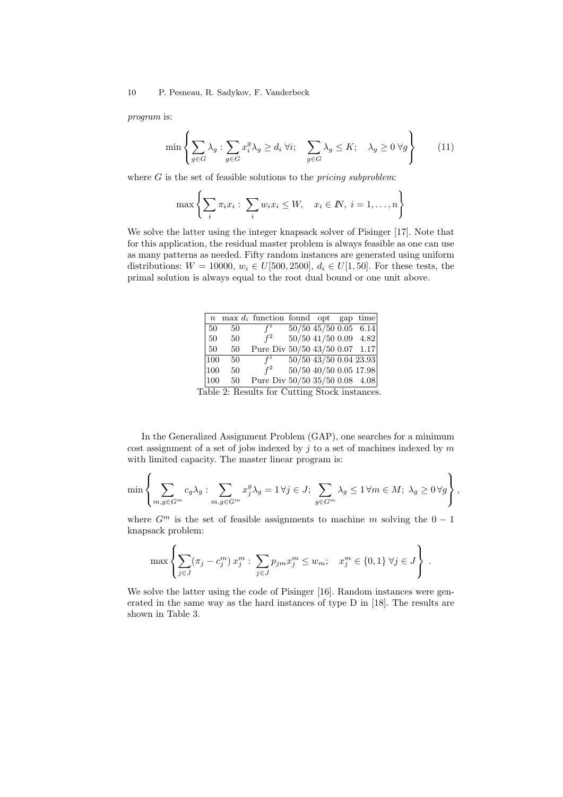10 P. Pesneau, R. Sadykov, F. Vanderbeck

program is:

$$
\min \left\{ \sum_{g \in G} \lambda_g : \sum_{g \in G} x_i^g \lambda_g \ge d_i \ \forall i; \quad \sum_{g \in G} \lambda_g \le K; \quad \lambda_g \ge 0 \ \forall g \right\} \tag{11}
$$

where  $G$  is the set of feasible solutions to the *pricing subproblem*:

$$
\max \left\{ \sum_{i} \pi_i x_i : \sum_{i} w_i x_i \le W, \quad x_i \in \mathbb{N}, \ i = 1, \dots, n \right\}
$$

We solve the latter using the integer knapsack solver of Pisinger [17]. Note that for this application, the residual master problem is always feasible as one can use as many patterns as needed. Fifty random instances are generated using uniform distributions:  $W = 10000, w_i \in U[500, 2500], d_i \in U[1, 50]$ . For these tests, the primal solution is always equal to the root dual bound or one unit above.

| $\overline{50/50}$ 45/50 0.05 6.14<br>50<br>50<br>50/50 41/50 0.09 4.82<br>$f^2$<br>50<br>50<br>Pure Div $50/50$ 43/50 0.07 1.17<br>50<br>50 |  |
|----------------------------------------------------------------------------------------------------------------------------------------------|--|
|                                                                                                                                              |  |
|                                                                                                                                              |  |
|                                                                                                                                              |  |
| $\frac{50}{50}$ 43/50 0.04 23.93<br>100<br>50                                                                                                |  |
| 50/50 40/50 0.05 17.98<br>$f^2$<br>100<br>50                                                                                                 |  |
| Pure Div 50/50 35/50 0.08 4.08<br>100<br>50                                                                                                  |  |

Table 2: Results for Cutting Stock instances.

In the Generalized Assignment Problem (GAP), one searches for a minimum cost assignment of a set of jobs indexed by j to a set of machines indexed by  $m$ with limited capacity. The master linear program is:

$$
\min \left\{ \sum_{m,g \in G^m} c_g \lambda_g : \sum_{m,g \in G^m} x_j^g \lambda_g = 1 \, \forall j \in J; \sum_{g \in G^m} \lambda_g \le 1 \, \forall m \in M; \ \lambda_g \ge 0 \, \forall g \right\},
$$

where  $G^m$  is the set of feasible assignments to machine m solving the  $0 - 1$ knapsack problem:

$$
\max \left\{ \sum_{j \in J} (\pi_j - c_j^m) x_j^m : \sum_{j \in J} p_{jm} x_j^m \le w_m; \quad x_j^m \in \{0, 1\} \, \forall j \in J \right\} .
$$

We solve the latter using the code of Pisinger [16]. Random instances were generated in the same way as the hard instances of type D in [18]. The results are shown in Table 3.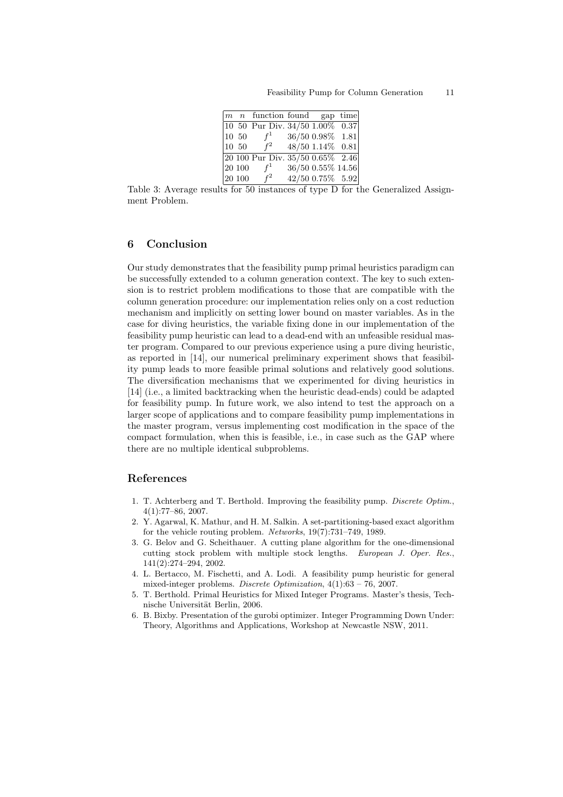|        | $m$ n function found gap time                                                    |                          |  |
|--------|----------------------------------------------------------------------------------|--------------------------|--|
|        | $\begin{vmatrix} 10 & 50 & \text{Pur Div. } 34/50 & 1.00\% & 0.37 \end{vmatrix}$ |                          |  |
|        | $ 10\; 50\; f^1$                                                                 | 36/50 0.98% 1.81         |  |
| 10 50  | $f^2$                                                                            | 48/50 1.14% 0.81         |  |
|        | 20 100 Pur Div. 35/50 0.65% 2.46                                                 |                          |  |
|        | $ 20\;100\;$ f <sup>1</sup>                                                      | $36/50$ $0.55\%$ $14.56$ |  |
| 20 100 | $f^2$                                                                            | 42/50 0.75% 5.92         |  |

Table 3: Average results for 50 instances of type D for the Generalized Assignment Problem.

#### 6 Conclusion

Our study demonstrates that the feasibility pump primal heuristics paradigm can be successfully extended to a column generation context. The key to such extension is to restrict problem modifications to those that are compatible with the column generation procedure: our implementation relies only on a cost reduction mechanism and implicitly on setting lower bound on master variables. As in the case for diving heuristics, the variable fixing done in our implementation of the feasibility pump heuristic can lead to a dead-end with an unfeasible residual master program. Compared to our previous experience using a pure diving heuristic, as reported in [14], our numerical preliminary experiment shows that feasibility pump leads to more feasible primal solutions and relatively good solutions. The diversification mechanisms that we experimented for diving heuristics in [14] (i.e., a limited backtracking when the heuristic dead-ends) could be adapted for feasibility pump. In future work, we also intend to test the approach on a larger scope of applications and to compare feasibility pump implementations in the master program, versus implementing cost modification in the space of the compact formulation, when this is feasible, i.e., in case such as the GAP where there are no multiple identical subproblems.

#### References

- 1. T. Achterberg and T. Berthold. Improving the feasibility pump. Discrete Optim., 4(1):77–86, 2007.
- 2. Y. Agarwal, K. Mathur, and H. M. Salkin. A set-partitioning-based exact algorithm for the vehicle routing problem. Networks, 19(7):731–749, 1989.
- 3. G. Belov and G. Scheithauer. A cutting plane algorithm for the one-dimensional cutting stock problem with multiple stock lengths. European J. Oper. Res., 141(2):274–294, 2002.
- 4. L. Bertacco, M. Fischetti, and A. Lodi. A feasibility pump heuristic for general mixed-integer problems. Discrete Optimization, 4(1):63 – 76, 2007.
- 5. T. Berthold. Primal Heuristics for Mixed Integer Programs. Master's thesis, Technische Universität Berlin, 2006.
- 6. B. Bixby. Presentation of the gurobi optimizer. Integer Programming Down Under: Theory, Algorithms and Applications, Workshop at Newcastle NSW, 2011.